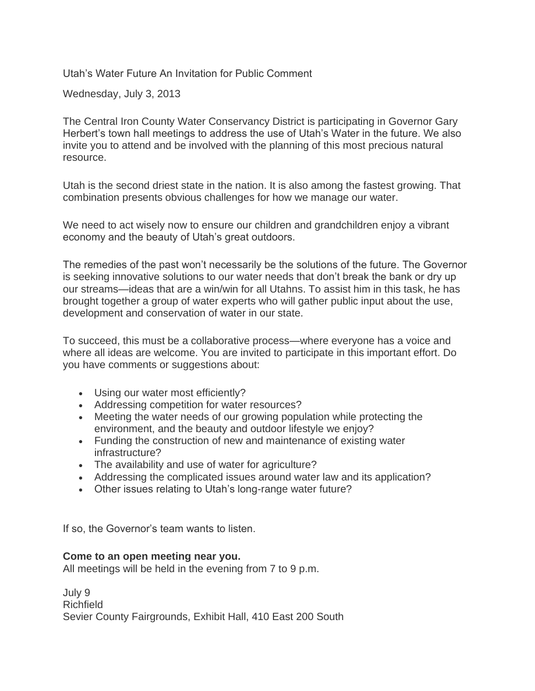Utah's Water Future An Invitation for Public Comment

Wednesday, July 3, 2013

The Central Iron County Water Conservancy District is participating in Governor Gary Herbert's town hall meetings to address the use of Utah's Water in the future. We also invite you to attend and be involved with the planning of this most precious natural resource.

Utah is the second driest state in the nation. It is also among the fastest growing. That combination presents obvious challenges for how we manage our water.

We need to act wisely now to ensure our children and grandchildren enjoy a vibrant economy and the beauty of Utah's great outdoors.

The remedies of the past won't necessarily be the solutions of the future. The Governor is seeking innovative solutions to our water needs that don't break the bank or dry up our streams—ideas that are a win/win for all Utahns. To assist him in this task, he has brought together a group of water experts who will gather public input about the use, development and conservation of water in our state.

To succeed, this must be a collaborative process—where everyone has a voice and where all ideas are welcome. You are invited to participate in this important effort. Do you have comments or suggestions about:

- Using our water most efficiently?
- Addressing competition for water resources?
- Meeting the water needs of our growing population while protecting the environment, and the beauty and outdoor lifestyle we enjoy?
- Funding the construction of new and maintenance of existing water infrastructure?
- The availability and use of water for agriculture?
- Addressing the complicated issues around water law and its application?
- Other issues relating to Utah's long-range water future?

If so, the Governor's team wants to listen.

## **Come to an open meeting near you.**

All meetings will be held in the evening from 7 to 9 p.m.

July 9 Richfield Sevier County Fairgrounds, Exhibit Hall, 410 East 200 South